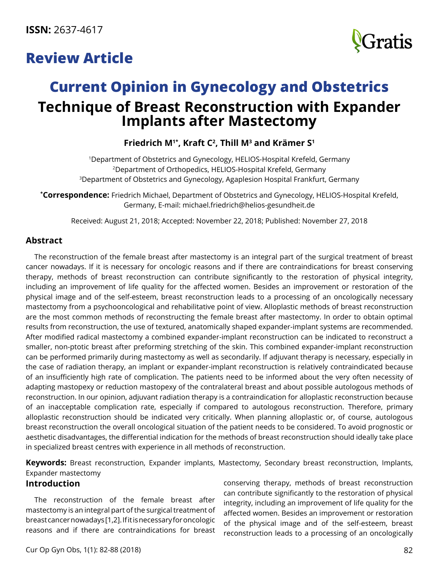## **Review Article**



# **Current Opinion in Gynecology and Obstetrics Technique of Breast Reconstruction with Expander Implants after Mastectomy**

## **Friedrich M1\*, Kraft C2 , Thill M3 and Krämer S1**

1Department of Obstetrics and Gynecology, HELIOS-Hospital Krefeld, Germany 2Department of Orthopedics, HELIOS-Hospital Krefeld, Germany 3Department of Obstetrics and Gynecology, Agaplesion Hospital Frankfurt, Germany

**\* Correspondence:** Friedrich Michael, Department of Obstetrics and Gynecology, HELIOS-Hospital Krefeld, Germany, E-mail: [michael.friedrich@helios-gesundheit.de](mailto:michael.friedrich@helios-gesundheit.de)

Received: August 21, 2018; Accepted: November 22, 2018; Published: November 27, 2018

## **Abstract**

The reconstruction of the female breast after mastectomy is an integral part of the surgical treatment of breast cancer nowadays. If it is necessary for oncologic reasons and if there are contraindications for breast conserving therapy, methods of breast reconstruction can contribute significantly to the restoration of physical integrity, including an improvement of life quality for the affected women. Besides an improvement or restoration of the physical image and of the self-esteem, breast reconstruction leads to a processing of an oncologically necessary mastectomy from a psychooncological and rehabilitative point of view. Alloplastic methods of breast reconstruction are the most common methods of reconstructing the female breast after mastectomy. In order to obtain optimal results from reconstruction, the use of textured, anatomically shaped expander-implant systems are recommended. After modified radical mastectomy a combined expander-implant reconstruction can be indicated to reconstruct a smaller, non-ptotic breast after preforming stretching of the skin. This combined expander-implant reconstruction can be performed primarily during mastectomy as well as secondarily. If adjuvant therapy is necessary, especially in the case of radiation therapy, an implant or expander-implant reconstruction is relatively contraindicated because of an insufficiently high rate of complication. The patients need to be informed about the very often necessity of adapting mastopexy or reduction mastopexy of the contralateral breast and about possible autologous methods of reconstruction. In our opinion, adjuvant radiation therapy is a contraindication for alloplastic reconstruction because of an inacceptable complication rate, especially if compared to autologous reconstruction. Therefore, primary alloplastic reconstruction should be indicated very critically. When planning alloplastic or, of course, autologous breast reconstruction the overall oncological situation of the patient needs to be considered. To avoid prognostic or aesthetic disadvantages, the differential indication for the methods of breast reconstruction should ideally take place in specialized breast centres with experience in all methods of reconstruction.

**Keywords:** Breast reconstruction, Expander implants, Mastectomy, Secondary breast reconstruction, Implants, Expander mastectomy

#### **Introduction**

The reconstruction of the female breast after mastectomy is an integral part of the surgical treatment of breast cancer nowadays [1,2]. If it is necessary for oncologic reasons and if there are contraindications for breast conserving therapy, methods of breast reconstruction can contribute significantly to the restoration of physical integrity, including an improvement of life quality for the affected women. Besides an improvement or restoration of the physical image and of the self-esteem, breast reconstruction leads to a processing of an oncologically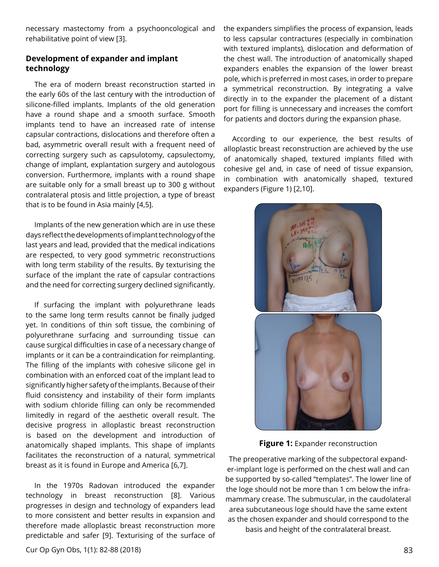necessary mastectomy from a psychooncological and rehabilitative point of view [3].

### **Development of expander and implant technology**

The era of modern breast reconstruction started in the early 60s of the last century with the introduction of silicone-filled implants. Implants of the old generation have a round shape and a smooth surface. Smooth implants tend to have an increased rate of intense capsular contractions, dislocations and therefore often a bad, asymmetric overall result with a frequent need of correcting surgery such as capsulotomy, capsulectomy, change of implant, explantation surgery and autologous conversion. Furthermore, implants with a round shape are suitable only for a small breast up to 300 g without contralateral ptosis and little projection, a type of breast that is to be found in Asia mainly [4,5].

Implants of the new generation which are in use these days reflect the developments of implant technology of the last years and lead, provided that the medical indications are respected, to very good symmetric reconstructions with long term stability of the results. By texturising the surface of the implant the rate of capsular contractions and the need for correcting surgery declined significantly.

If surfacing the implant with polyurethrane leads to the same long term results cannot be finally judged yet. In conditions of thin soft tissue, the combining of polyurethrane surfacing and surrounding tissue can cause surgical difficulties in case of a necessary change of implants or it can be a contraindication for reimplanting. The filling of the implants with cohesive silicone gel in combination with an enforced coat of the implant lead to significantly higher safety of the implants. Because of their fluid consistency and instability of their form implants with sodium chloride filling can only be recommended limitedly in regard of the aesthetic overall result. The decisive progress in alloplastic breast reconstruction is based on the development and introduction of anatomically shaped implants. This shape of implants facilitates the reconstruction of a natural, symmetrical breast as it is found in Europe and America [6,7].

In the 1970s Radovan introduced the expander technology in breast reconstruction [8]. Various progresses in design and technology of expanders lead to more consistent and better results in expansion and therefore made alloplastic breast reconstruction more predictable and safer [9]. Texturising of the surface of the expanders simplifies the process of expansion, leads to less capsular contractures (especially in combination with textured implants), dislocation and deformation of the chest wall. The introduction of anatomically shaped expanders enables the expansion of the lower breast pole, which is preferred in most cases, in order to prepare a symmetrical reconstruction. By integrating a valve directly in to the expander the placement of a distant port for filling is unnecessary and increases the comfort for patients and doctors during the expansion phase.

According to our experience, the best results of alloplastic breast reconstruction are achieved by the use of anatomically shaped, textured implants filled with cohesive gel and, in case of need of tissue expansion, in combination with anatomically shaped, textured expanders (Figure 1) [2,10].



**Figure 1:** Expander reconstruction

The preoperative marking of the subpectoral expander-implant loge is performed on the chest wall and can be supported by so-called "templates". The lower line of the loge should not be more than 1 cm below the inframammary crease. The submuscular, in the caudolateral area subcutaneous loge should have the same extent as the chosen expander and should correspond to the basis and height of the contralateral breast.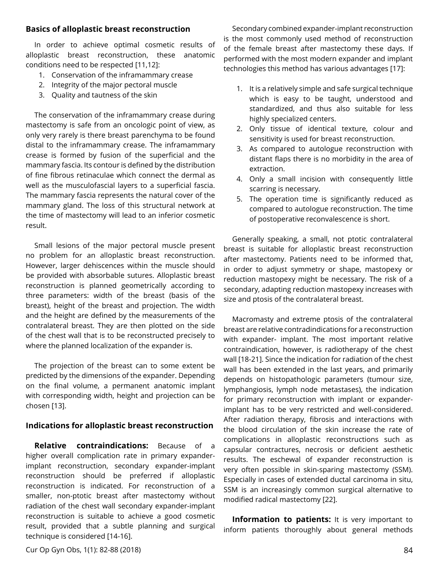#### **Basics of alloplastic breast reconstruction**

In order to achieve optimal cosmetic results of alloplastic breast reconstruction, these anatomic conditions need to be respected [11,12]:

- 1. Conservation of the inframammary crease
- 2. Integrity of the major pectoral muscle
- 3. Quality and tautness of the skin

The conservation of the inframammary crease during mastectomy is safe from an oncologic point of view, as only very rarely is there breast parenchyma to be found distal to the inframammary crease. The inframammary crease is formed by fusion of the superficial and the mammary fascia. Its contour is defined by the distribution of fine fibrous retinaculae which connect the dermal as well as the musculofascial layers to a superficial fascia. The mammary fascia represents the natural cover of the mammary gland. The loss of this structural network at the time of mastectomy will lead to an inferior cosmetic result.

Small lesions of the major pectoral muscle present no problem for an alloplastic breast reconstruction. However, larger dehiscences within the muscle should be provided with absorbable sutures. Alloplastic breast reconstruction is planned geometrically according to three parameters: width of the breast (basis of the breast), height of the breast and projection. The width and the height are defined by the measurements of the contralateral breast. They are then plotted on the side of the chest wall that is to be reconstructed precisely to where the planned localization of the expander is.

The projection of the breast can to some extent be predicted by the dimensions of the expander. Depending on the final volume, a permanent anatomic implant with corresponding width, height and projection can be chosen [13].

#### **Indications for alloplastic breast reconstruction**

**Relative contraindications:** Because of a higher overall complication rate in primary expanderimplant reconstruction, secondary expander-implant reconstruction should be preferred if alloplastic reconstruction is indicated. For reconstruction of a smaller, non-ptotic breast after mastectomy without radiation of the chest wall secondary expander-implant reconstruction is suitable to achieve a good cosmetic result, provided that a subtle planning and surgical technique is considered [14-16].

Secondary combined expander-implant reconstruction is the most commonly used method of reconstruction of the female breast after mastectomy these days. If performed with the most modern expander and implant technologies this method has various advantages [17]:

- 1. It is a relatively simple and safe surgical technique which is easy to be taught, understood and standardized, and thus also suitable for less highly specialized centers.
- 2. Only tissue of identical texture, colour and sensitivity is used for breast reconstruction.
- 3. As compared to autologue reconstruction with distant flaps there is no morbidity in the area of extraction.
- 4. Only a small incision with consequently little scarring is necessary.
- 5. The operation time is significantly reduced as compared to autologue reconstruction. The time of postoperative reconvalescence is short.

Generally speaking, a small, not ptotic contralateral breast is suitable for alloplastic breast reconstruction after mastectomy. Patients need to be informed that, in order to adjust symmetry or shape, mastopexy or reduction mastopexy might be necessary. The risk of a secondary, adapting reduction mastopexy increases with size and ptosis of the contralateral breast.

Macromasty and extreme ptosis of the contralateral breast are relative contradindications for a reconstruction with expander- implant. The most important relative contraindication, however, is radiotherapy of the chest wall [18-21]. Since the indication for radiation of the chest wall has been extended in the last years, and primarily depends on histopathologic parameters (tumour size, lymphangiosis, lymph node metastases), the indication for primary reconstruction with implant or expanderimplant has to be very restricted and well-considered. After radiation therapy, fibrosis and interactions with the blood circulation of the skin increase the rate of complications in alloplastic reconstructions such as capsular contractures, necrosis or deficient aesthetic results. The eschewal of expander reconstruction is very often possible in skin-sparing mastectomy (SSM). Especially in cases of extended ductal carcinoma in situ, SSM is an increasingly common surgical alternative to modified radical mastectomy [22].

**Information to patients:** It is very important to inform patients thoroughly about general methods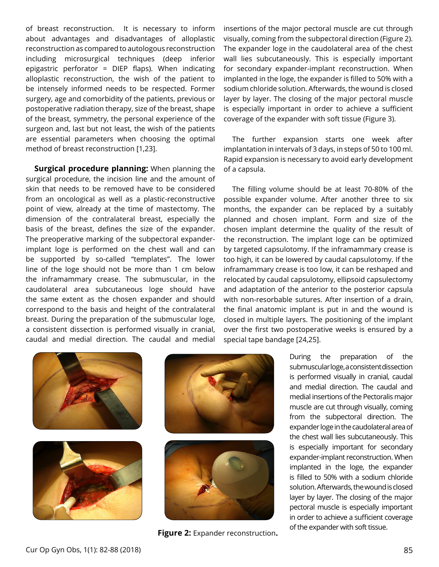of breast reconstruction. It is necessary to inform about advantages and disadvantages of alloplastic reconstruction as compared to autologous reconstruction including microsurgical techniques (deep inferior epigastric perforator = DIEP flaps). When indicating alloplastic reconstruction, the wish of the patient to be intensely informed needs to be respected. Former surgery, age and comorbidity of the patients, previous or postoperative radiation therapy, size of the breast, shape of the breast, symmetry, the personal experience of the surgeon and, last but not least, the wish of the patients are essential parameters when choosing the optimal method of breast reconstruction [1,23].

**Surgical procedure planning:** When planning the surgical procedure, the incision line and the amount of skin that needs to be removed have to be considered from an oncological as well as a plastic-reconstructive point of view, already at the time of mastectomy. The dimension of the contralateral breast, especially the basis of the breast, defines the size of the expander. The preoperative marking of the subpectoral expanderimplant loge is performed on the chest wall and can be supported by so-called "templates". The lower line of the loge should not be more than 1 cm below the inframammary crease. The submuscular, in the caudolateral area subcutaneous loge should have the same extent as the chosen expander and should correspond to the basis and height of the contralateral breast. During the preparation of the submuscular loge, a consistent dissection is performed visually in cranial, caudal and medial direction. The caudal and medial insertions of the major pectoral muscle are cut through visually, coming from the subpectoral direction (Figure 2). The expander loge in the caudolateral area of the chest wall lies subcutaneously. This is especially important for secondary expander-implant reconstruction. When implanted in the loge, the expander is filled to 50% with a sodium chloride solution. Afterwards, the wound is closed layer by layer. The closing of the major pectoral muscle is especially important in order to achieve a sufficient coverage of the expander with soft tissue (Figure 3).

The further expansion starts one week after implantation in intervals of 3 days, in steps of 50 to 100 ml. Rapid expansion is necessary to avoid early development of a capsula.

The filling volume should be at least 70-80% of the possible expander volume. After another three to six months, the expander can be replaced by a suitably planned and chosen implant. Form and size of the chosen implant determine the quality of the result of the reconstruction. The implant loge can be optimized by targeted capsulotomy. If the inframammary crease is too high, it can be lowered by caudal capsulotomy. If the inframammary crease is too low, it can be reshaped and relocated by caudal capsulotomy, ellipsoid capsulectomy and adaptation of the anterior to the posterior capsula with non-resorbable sutures. After insertion of a drain, the final anatomic implant is put in and the wound is closed in multiple layers. The positioning of the implant over the first two postoperative weeks is ensured by a special tape bandage [24,25].









**Figure 2:** Expander reconstruction**.** 

During the preparation of the submuscular loge, a consistent dissection is performed visually in cranial, caudal and medial direction. The caudal and medial insertions of the Pectoralis major muscle are cut through visually, coming from the subpectoral direction. The expander loge in the caudolateral area of the chest wall lies subcutaneously. This is especially important for secondary expander-implant reconstruction. When implanted in the loge, the expander is filled to 50% with a sodium chloride solution. Afterwards, the wound is closed layer by layer. The closing of the major pectoral muscle is especially important in order to achieve a sufficient coverage of the expander with soft tissue.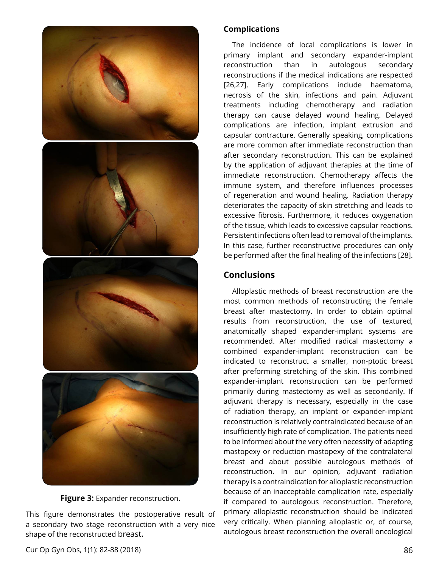

**Figure 3: Expander reconstruction.** 

This figure demonstrates the postoperative result of a secondary two stage reconstruction with a very nice shape of the reconstructed breast**.** 

### **Complications**

The incidence of local complications is lower in primary implant and secondary expander-implant reconstruction than in autologous secondary reconstructions if the medical indications are respected [26,27]. Early complications include haematoma, necrosis of the skin, infections and pain. Adjuvant treatments including chemotherapy and radiation therapy can cause delayed wound healing. Delayed complications are infection, implant extrusion and capsular contracture. Generally speaking, complications are more common after immediate reconstruction than after secondary reconstruction. This can be explained by the application of adjuvant therapies at the time of immediate reconstruction. Chemotherapy affects the immune system, and therefore influences processes of regeneration and wound healing. Radiation therapy deteriorates the capacity of skin stretching and leads to excessive fibrosis. Furthermore, it reduces oxygenation of the tissue, which leads to excessive capsular reactions. Persistent infections often lead to removal of the implants. In this case, further reconstructive procedures can only be performed after the final healing of the infections [28].

## **Conclusions**

Alloplastic methods of breast reconstruction are the most common methods of reconstructing the female breast after mastectomy. In order to obtain optimal results from reconstruction, the use of textured, anatomically shaped expander-implant systems are recommended. After modified radical mastectomy a combined expander-implant reconstruction can be indicated to reconstruct a smaller, non-ptotic breast after preforming stretching of the skin. This combined expander-implant reconstruction can be performed primarily during mastectomy as well as secondarily. If adjuvant therapy is necessary, especially in the case of radiation therapy, an implant or expander-implant reconstruction is relatively contraindicated because of an insufficiently high rate of complication. The patients need to be informed about the very often necessity of adapting mastopexy or reduction mastopexy of the contralateral breast and about possible autologous methods of reconstruction. In our opinion, adjuvant radiation therapy is a contraindication for alloplastic reconstruction because of an inacceptable complication rate, especially if compared to autologous reconstruction. Therefore, primary alloplastic reconstruction should be indicated very critically. When planning alloplastic or, of course, autologous breast reconstruction the overall oncological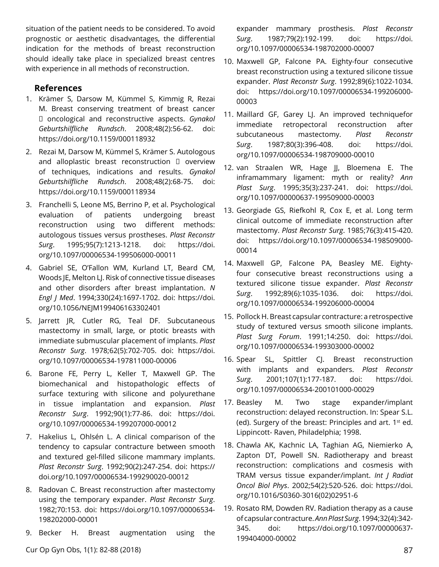situation of the patient needs to be considered. To avoid prognostic or aesthetic disadvantages, the differential indication for the methods of breast reconstruction should ideally take place in specialized breast centres with experience in all methods of reconstruction.

## **References**

- 1. Krämer S, Darsow M, Kümmel S, Kimmig R, Rezai M. Breast conserving treatment of breast cancer oncological and reconstructive aspects. *Gynakol Geburtshilfliche Rundsch*. 2008;48(2):56-62. doi: <https://doi.org/10.1159/000118932>
- 2. Rezai M, Darsow M, Kümmel S, Krämer S. Autologous and alloplastic breast reconstruction  $\Box$  overview of techniques, indications and results. *Gynakol Geburtshilfliche Rundsch*. 2008;48(2):68-75. doi: <https://doi.org/10.1159/000118934>
- 3. Franchelli S, Leone MS, Berrino P, et al. Psychological evaluation of patients undergoing breast reconstruction using two different methods: autologous tissues versus prostheses. *Plast Reconstr Surg*. 1995;95(7):1213-1218. doi: [https://doi.](https://doi.org/10.1097/00006534-199506000-00011) [org/10.1097/00006534-199506000-00011](https://doi.org/10.1097/00006534-199506000-00011)
- 4. Gabriel SE, O'Fallon WM, Kurland LT, Beard CM, Woods JE, Melton LJ. Risk of connective tissue diseases and other disorders after breast implantation. *N Engl J Med*. 1994;330(24):1697-1702. doi: [https://doi.](https://doi.org/10.1056/NEJM199406163302401) [org/10.1056/NEJM199406163302401](https://doi.org/10.1056/NEJM199406163302401)
- 5. Jarrett JR, Cutler RG, Teal DF. Subcutaneous mastectomy in small, large, or ptotic breasts with immediate submuscular placement of implants. *Plast Reconstr Surg*. 1978;62(5):702-705. doi: [https://doi.](https://doi.org/10.1097/00006534-197811000-00006) [org/10.1097/00006534-197811000-00006](https://doi.org/10.1097/00006534-197811000-00006)
- 6. Barone FE, Perry L, Keller T, Maxwell GP. The biomechanical and histopathologic effects of surface texturing with silicone and polyurethane in tissue implantation and expansion. *Plast Reconstr Surg*. 1992;90(1):77-86. doi: [https://doi.](https://doi.org/10.1097/00006534-199207000-00012) [org/10.1097/00006534-199207000-00012](https://doi.org/10.1097/00006534-199207000-00012)
- 7. Hakelius L, Ohlsén L. A clinical comparison of the tendency to capsular contracture between smooth and textured gel-filled silicone mammary implants. *Plast Reconstr Surg*. 1992;90(2):247-254. doi: [https://](https://doi.org/10.1097/00006534-199290020-00012) [doi.org/10.1097/00006534-199290020-00012](https://doi.org/10.1097/00006534-199290020-00012)
- 8. Radovan C. Breast reconstruction after mastectomy using the temporary expander. *Plast Reconstr Surg*. 1982;70:153. doi: [https://doi.org/10.1097/00006534-](https://doi.org/10.1097/00006534-198202000-00001) [198202000-00001](https://doi.org/10.1097/00006534-198202000-00001)
- 9. Becker H. Breast augmentation using the

expander mammary prosthesis. *Plast Reconstr Surg*. 1987;79(2):192-199. doi: [https://doi.](https://doi.org/10.1097/00006534-198702000-00007) [org/10.1097/00006534-198702000-00007](https://doi.org/10.1097/00006534-198702000-00007)

- 10. Maxwell GP, Falcone PA. Eighty-four consecutive breast reconstruction using a textured silicone tissue expander. *Plast Reconstr Surg*. 1992;89(6):1022-1034. doi: [https://doi.org/10.1097/00006534-199206000-](https://doi.org/10.1097/00006534-199206000-00003) [00003](https://doi.org/10.1097/00006534-199206000-00003)
- 11. Maillard GF, Garey LJ. An improved techniquefor immediate retropectoral reconstruction after subcutaneous mastectomy. *Plast Reconstr Surg*. 1987;80(3):396-408. doi: [https://doi.](https://doi.org/10.1097/00006534-198709000-00010) [org/10.1097/00006534-198709000-00010](https://doi.org/10.1097/00006534-198709000-00010)
- 12. van Straalen WR, Hage JJ, Bloemena E. The inframammary ligament: myth or reality? *Ann Plast Surg*. 1995;35(3):237-241. doi: [https://doi.](https://doi.org/10.1097/00000637-199509000-00003) [org/10.1097/00000637-199509000-00003](https://doi.org/10.1097/00000637-199509000-00003)
- 13. Georgiade GS, Riefkohl R, Cox E, et al. Long term clinical outcome of immediate reconstruction after mastectomy. *Plast Reconstr Surg*. 1985;76(3):415-420. doi: [https://doi.org/10.1097/00006534-198509000-](https://doi.org/10.1097/00006534-198509000-00014) [00014](https://doi.org/10.1097/00006534-198509000-00014)
- 14. Maxwell GP, Falcone PA, Beasley ME. Eightyfour consecutive breast reconstructions using a textured silicone tissue expander. *Plast Reconstr Surg*. 1992;89(6):1035-1036. doi: [https://doi.](https://doi.org/10.1097/00006534-199206000-00004) [org/10.1097/00006534-199206000-00004](https://doi.org/10.1097/00006534-199206000-00004)
- 15. Pollock H. Breast capsular contracture: a retrospective study of textured versus smooth silicone implants. *Plast Surg Forum*. 1991;14:250. doi: [https://doi.](https://doi.org/10.1097/00006534-199303000-00002) [org/10.1097/00006534-199303000-00002](https://doi.org/10.1097/00006534-199303000-00002)
- 16. Spear SL, Spittler CJ. Breast reconstruction with implants and expanders. *Plast Reconstr Surg*. 2001;107(1):177-187. doi: [https://doi.](https://doi.org/10.1097/00006534-200101000-00029) [org/10.1097/00006534-200101000-00029](https://doi.org/10.1097/00006534-200101000-00029)
- 17. Beasley M. Two stage expander/implant reconstruction: delayed reconstruction. In: Spear S.L. (ed). Surgery of the breast: Principles and art.  $1^{st}$  ed. Lippincott- Raven, Philadelphia; 1998.
- 18. Chawla AK, Kachnic LA, Taghian AG, Niemierko A, Zapton DT, Powell SN. Radiotherapy and breast reconstruction: complications and cosmesis with TRAM versus tissue expander/implant. *Int J Radiat Oncol Biol Phys*. 2002;54(2):520-526. doi: [https://doi.](https://doi.org/10.1016/S0360-3016(02)02951-6) [org/10.1016/S0360-3016\(02\)02951-6](https://doi.org/10.1016/S0360-3016(02)02951-6)
- 19. Rosato RM, Dowden RV. Radiation therapy as a cause of capsular contracture. *Ann Plast Surg*. 1994;32(4):342- 345. doi: [https://doi.org/10.1097/00000637-](https://doi.org/10.1097/00000637-199404000-00002) [199404000-00002](https://doi.org/10.1097/00000637-199404000-00002)

Cur Op Gyn Obs, 1(1): 82-88 (2018) 87